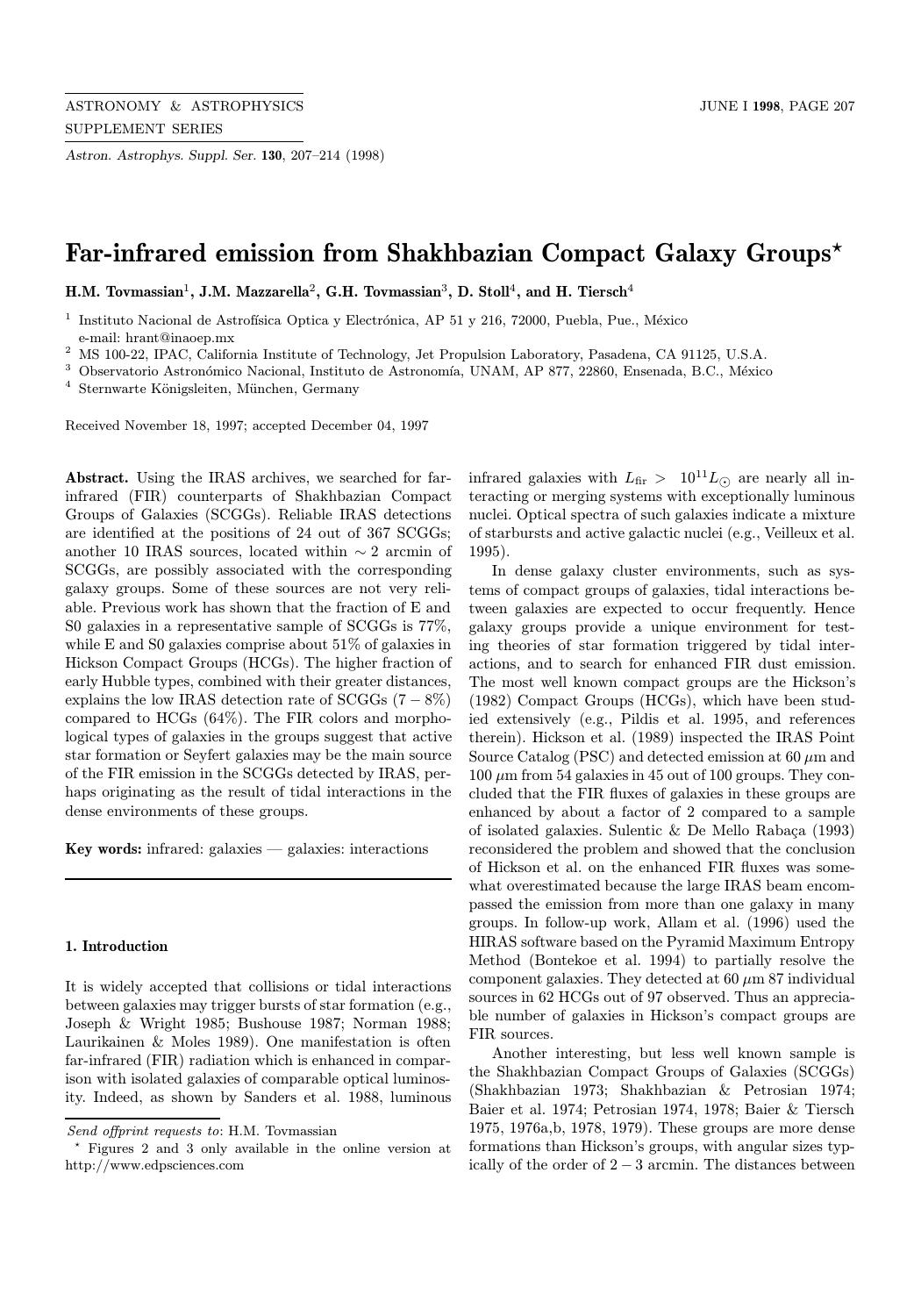Astron. Astrophys. Suppl. Ser. 130, 207–214 (1998)

# Far-infrared emission from Shakhbazian Compact Galaxy Groups\*

H.M. Tovmassian<sup>1</sup>, J.M. Mazzarella<sup>2</sup>, G.H. Tovmassian<sup>3</sup>, D. Stoll<sup>4</sup>, and H. Tiersch<sup>4</sup>

<sup>1</sup> Instituto Nacional de Astrofísica Optica y Electrónica, AP 51 y 216, 72000, Puebla, Pue., México e-mail: hrant@inaoep.mx

<sup>2</sup> MS 100-22, IPAC, California Institute of Technology, Jet Propulsion Laboratory, Pasadena, CA 91125, U.S.A.

<sup>3</sup> Observatorio Astronómico Nacional, Instituto de Astronomía, UNAM, AP 877, 22860, Ensenada, B.C., México

<sup>4</sup> Sternwarte Königsleiten, München, Germany

Received November 18, 1997; accepted December 04, 1997

Abstract. Using the IRAS archives, we searched for farinfrared (FIR) counterparts of Shakhbazian Compact Groups of Galaxies (SCGGs). Reliable IRAS detections are identified at the positions of 24 out of 367 SCGGs; another 10 IRAS sources, located within  $\sim$  2 arcmin of SCGGs, are possibly associated with the corresponding galaxy groups. Some of these sources are not very reliable. Previous work has shown that the fraction of E and S0 galaxies in a representative sample of SCGGs is 77%, while E and S0 galaxies comprise about 51% of galaxies in Hickson Compact Groups (HCGs). The higher fraction of early Hubble types, combined with their greater distances, explains the low IRAS detection rate of  $SCGGs$  (7 – 8%) compared to HCGs (64%). The FIR colors and morphological types of galaxies in the groups suggest that active star formation or Seyfert galaxies may be the main source of the FIR emission in the SCGGs detected by IRAS, perhaps originating as the result of tidal interactions in the dense environments of these groups.

Key words: infrared: galaxies  $-$  galaxies: interactions

#### 1. Introduction

It is widely accepted that collisions or tidal interactions between galaxies may trigger bursts of star formation (e.g., Joseph & Wright 1985; Bushouse 1987; Norman 1988; Laurikainen & Moles 1989). One manifestation is often far-infrared (FIR) radiation which is enhanced in comparison with isolated galaxies of comparable optical luminosity. Indeed, as shown by Sanders et al. 1988, luminous infrared galaxies with  $L_{\text{fir}} > 10^{11} L_{\odot}$  are nearly all interacting or merging systems with exceptionally luminous nuclei. Optical spectra of such galaxies indicate a mixture of starbursts and active galactic nuclei (e.g., Veilleux et al. 1995).

In dense galaxy cluster environments, such as systems of compact groups of galaxies, tidal interactions between galaxies are expected to occur frequently. Hence galaxy groups provide a unique environment for testing theories of star formation triggered by tidal interactions, and to search for enhanced FIR dust emission. The most well known compact groups are the Hickson's (1982) Compact Groups (HCGs), which have been studied extensively (e.g., Pildis et al. 1995, and references therein). Hickson et al. (1989) inspected the IRAS Point Source Catalog (PSC) and detected emission at  $60 \mu m$  and  $100 \mu m$  from 54 galaxies in 45 out of 100 groups. They concluded that the FIR fluxes of galaxies in these groups are enhanced by about a factor of 2 compared to a sample of isolated galaxies. Sulentic  $&$  De Mello Rabaça (1993) reconsidered the problem and showed that the conclusion of Hickson et al. on the enhanced FIR fluxes was somewhat overestimated because the large IRAS beam encompassed the emission from more than one galaxy in many groups. In follow-up work, Allam et al. (1996) used the HIRAS software based on the Pyramid Maximum Entropy Method (Bontekoe et al. 1994) to partially resolve the component galaxies. They detected at  $60 \mu m 87$  individual sources in 62 HCGs out of 97 observed. Thus an appreciable number of galaxies in Hickson's compact groups are FIR sources.

Another interesting, but less well known sample is the Shakhbazian Compact Groups of Galaxies (SCGGs) (Shakhbazian 1973; Shakhbazian & Petrosian 1974; Baier et al. 1974; Petrosian 1974, 1978; Baier & Tiersch 1975, 1976a,b, 1978, 1979). These groups are more dense formations than Hickson's groups, with angular sizes typically of the order of  $2-3$  arcmin. The distances between

Send offprint requests to: H.M. Tovmassian

<sup>?</sup> Figures 2 and 3 only available in the online version at http://www.edpsciences.com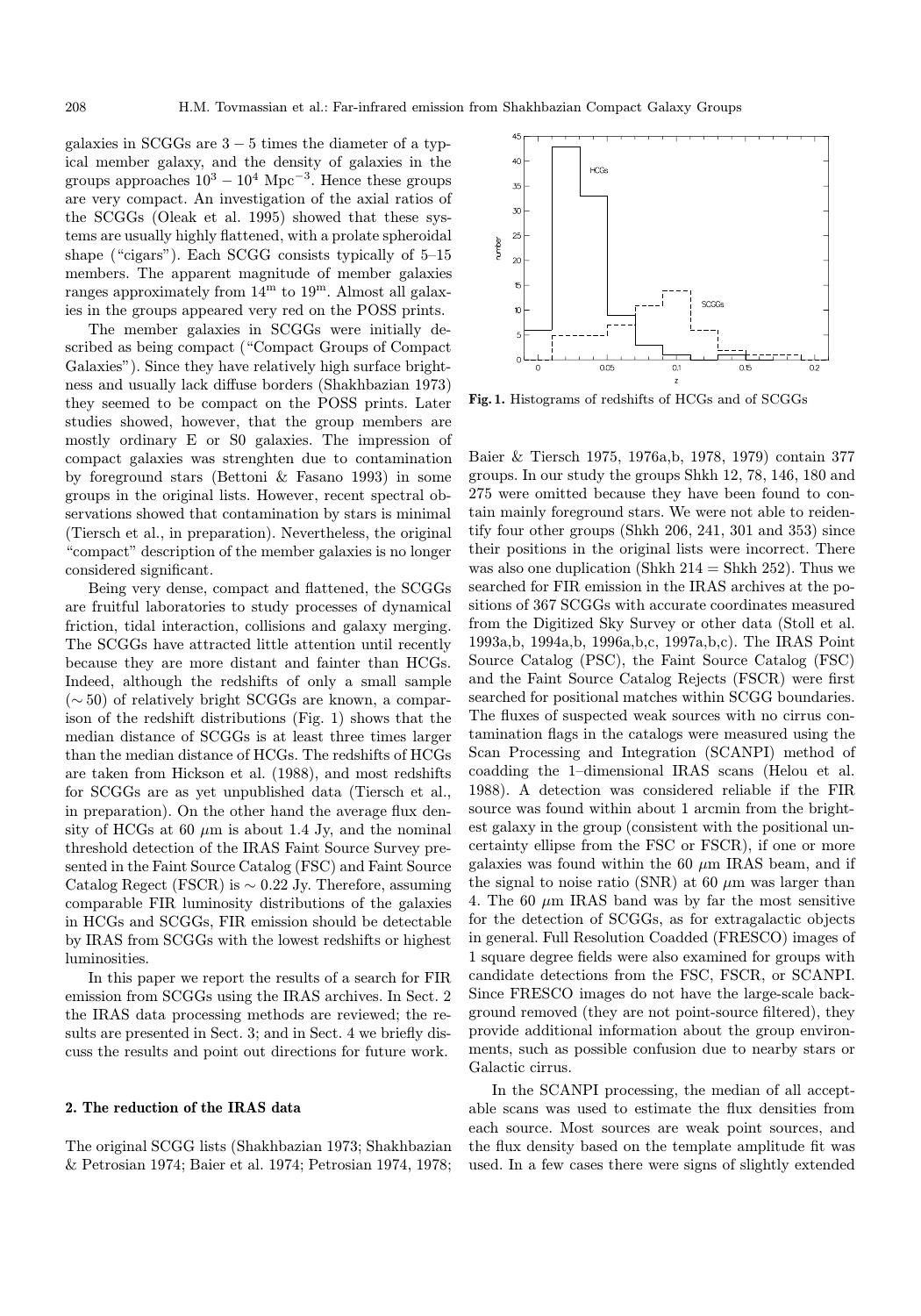galaxies in SCGGs are  $3 - 5$  times the diameter of a typical member galaxy, and the density of galaxies in the groups approaches  $10^3 - 10^4$  Mpc<sup>-3</sup>. Hence these groups are very compact. An investigation of the axial ratios of the SCGGs (Oleak et al. 1995) showed that these systems are usually highly flattened, with a prolate spheroidal shape ("cigars"). Each SCGG consists typically of 5–15 members. The apparent magnitude of member galaxies ranges approximately from  $14^{\rm m}$  to  $19^{\rm m}$ . Almost all galaxies in the groups appeared very red on the POSS prints.

The member galaxies in SCGGs were initially described as being compact ("Compact Groups of Compact Galaxies"). Since they have relatively high surface brightness and usually lack diffuse borders (Shakhbazian 1973) they seemed to be compact on the POSS prints. Later studies showed, however, that the group members are mostly ordinary E or S0 galaxies. The impression of compact galaxies was strenghten due to contamination by foreground stars (Bettoni & Fasano 1993) in some groups in the original lists. However, recent spectral observations showed that contamination by stars is minimal (Tiersch et al., in preparation). Nevertheless, the original "compact" description of the member galaxies is no longer considered significant.

Being very dense, compact and flattened, the SCGGs are fruitful laboratories to study processes of dynamical friction, tidal interaction, collisions and galaxy merging. The SCGGs have attracted little attention until recently because they are more distant and fainter than HCGs. Indeed, although the redshifts of only a small sample (∼ 50) of relatively bright SCGGs are known, a comparison of the redshift distributions (Fig. 1) shows that the median distance of SCGGs is at least three times larger than the median distance of HCGs. The redshifts of HCGs are taken from Hickson et al. (1988), and most redshifts for SCGGs are as yet unpublished data (Tiersch et al., in preparation). On the other hand the average flux density of HCGs at 60  $\mu$ m is about 1.4 Jy, and the nominal threshold detection of the IRAS Faint Source Survey presented in the Faint Source Catalog (FSC) and Faint Source Catalog Regect (FSCR) is  $\sim$  0.22 Jy. Therefore, assuming comparable FIR luminosity distributions of the galaxies in HCGs and SCGGs, FIR emission should be detectable by IRAS from SCGGs with the lowest redshifts or highest luminosities.

In this paper we report the results of a search for FIR emission from SCGGs using the IRAS archives. In Sect. 2 the IRAS data processing methods are reviewed; the results are presented in Sect. 3; and in Sect. 4 we briefly discuss the results and point out directions for future work.

### 2. The reduction of the IRAS data

The original SCGG lists (Shakhbazian 1973; Shakhbazian & Petrosian 1974; Baier et al. 1974; Petrosian 1974, 1978;

**HCGs** 35  $\alpha$ sooc- $0.05$  $\epsilon$  $\overline{0}$  $0.15$  $0.2$ 

Fig. 1. Histograms of redshifts of HCGs and of SCGGs

Baier & Tiersch 1975, 1976a,b, 1978, 1979) contain 377 groups. In our study the groups Shkh 12, 78, 146, 180 and 275 were omitted because they have been found to contain mainly foreground stars. We were not able to reidentify four other groups (Shkh 206, 241, 301 and 353) since their positions in the original lists were incorrect. There was also one duplication (Shkh  $214 = Shkh 252$ ). Thus we searched for FIR emission in the IRAS archives at the positions of 367 SCGGs with accurate coordinates measured from the Digitized Sky Survey or other data (Stoll et al. 1993a,b, 1994a,b, 1996a,b,c, 1997a,b,c). The IRAS Point Source Catalog (PSC), the Faint Source Catalog (FSC) and the Faint Source Catalog Rejects (FSCR) were first searched for positional matches within SCGG boundaries. The fluxes of suspected weak sources with no cirrus contamination flags in the catalogs were measured using the Scan Processing and Integration (SCANPI) method of coadding the 1–dimensional IRAS scans (Helou et al. 1988). A detection was considered reliable if the FIR source was found within about 1 arcmin from the brightest galaxy in the group (consistent with the positional uncertainty ellipse from the FSC or FSCR), if one or more galaxies was found within the 60  $\mu$ m IRAS beam, and if the signal to noise ratio (SNR) at 60  $\mu$ m was larger than 4. The 60  $\mu$ m IRAS band was by far the most sensitive for the detection of SCGGs, as for extragalactic objects in general. Full Resolution Coadded (FRESCO) images of 1 square degree fields were also examined for groups with candidate detections from the FSC, FSCR, or SCANPI. Since FRESCO images do not have the large-scale background removed (they are not point-source filtered), they provide additional information about the group environments, such as possible confusion due to nearby stars or Galactic cirrus.

In the SCANPI processing, the median of all acceptable scans was used to estimate the flux densities from each source. Most sources are weak point sources, and the flux density based on the template amplitude fit was used. In a few cases there were signs of slightly extended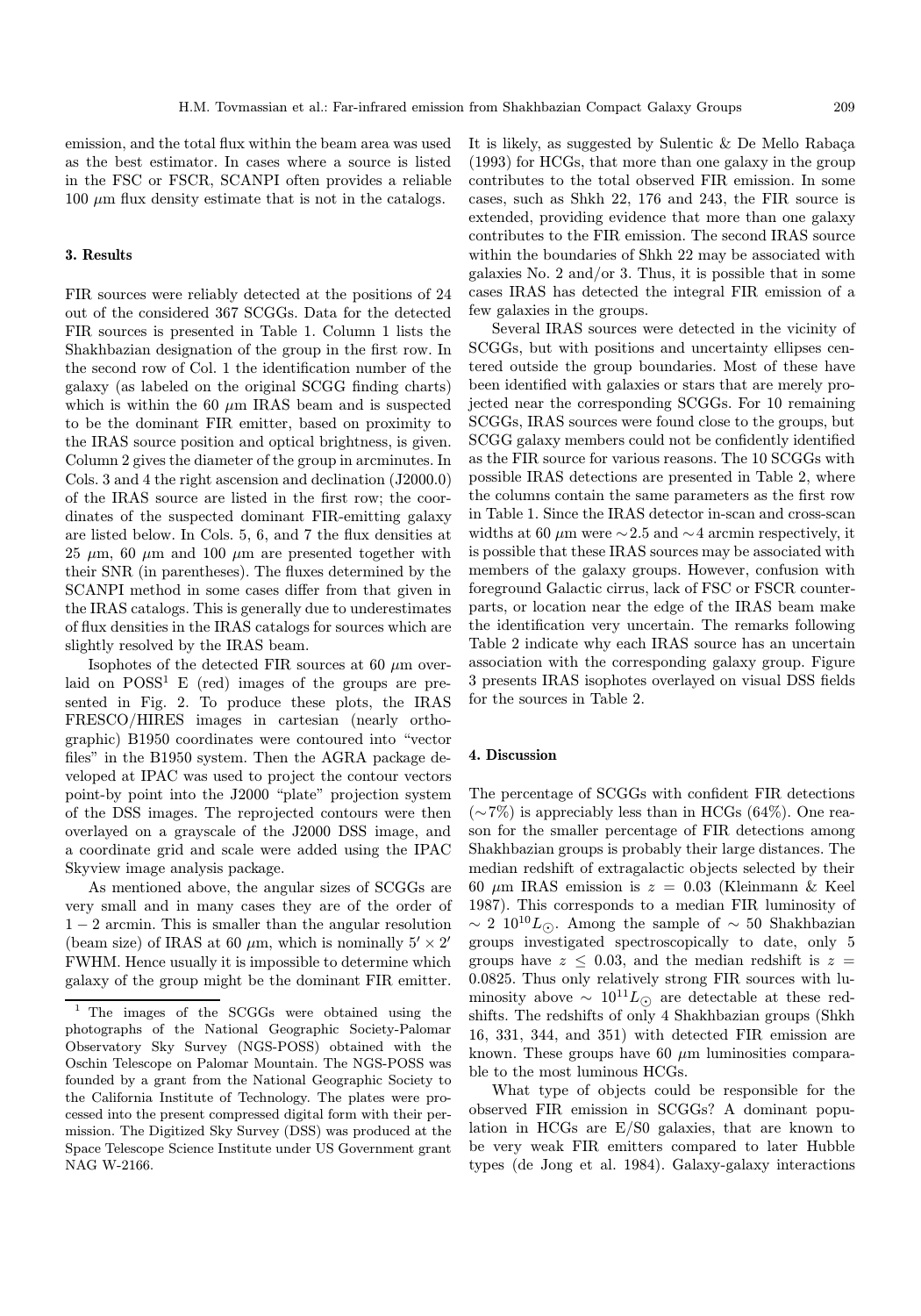emission, and the total flux within the beam area was used as the best estimator. In cases where a source is listed in the FSC or FSCR, SCANPI often provides a reliable  $100 \mu m$  flux density estimate that is not in the catalogs.

# 3. Results

FIR sources were reliably detected at the positions of 24 out of the considered 367 SCGGs. Data for the detected FIR sources is presented in Table 1. Column 1 lists the Shakhbazian designation of the group in the first row. In the second row of Col. 1 the identification number of the galaxy (as labeled on the original SCGG finding charts) which is within the 60  $\mu$ m IRAS beam and is suspected to be the dominant FIR emitter, based on proximity to the IRAS source position and optical brightness, is given. Column 2 gives the diameter of the group in arcminutes. In Cols. 3 and 4 the right ascension and declination (J2000.0) of the IRAS source are listed in the first row; the coordinates of the suspected dominant FIR-emitting galaxy are listed below. In Cols. 5, 6, and 7 the flux densities at 25  $\mu$ m, 60  $\mu$ m and 100  $\mu$ m are presented together with their SNR (in parentheses). The fluxes determined by the SCANPI method in some cases differ from that given in the IRAS catalogs. This is generally due to underestimates of flux densities in the IRAS catalogs for sources which are slightly resolved by the IRAS beam.

Isophotes of the detected FIR sources at 60  $\mu$ m overlaid on  $POSS<sup>1</sup>$  E (red) images of the groups are presented in Fig. 2. To produce these plots, the IRAS FRESCO/HIRES images in cartesian (nearly orthographic) B1950 coordinates were contoured into "vector files" in the B1950 system. Then the AGRA package developed at IPAC was used to project the contour vectors point-by point into the J2000 "plate" projection system of the DSS images. The reprojected contours were then overlayed on a grayscale of the J2000 DSS image, and a coordinate grid and scale were added using the IPAC Skyview image analysis package.

As mentioned above, the angular sizes of SCGGs are very small and in many cases they are of the order of  $1 - 2$  arcmin. This is smaller than the angular resolution (beam size) of IRAS at 60  $\mu$ m, which is nominally  $5' \times 2'$ FWHM. Hence usually it is impossible to determine which galaxy of the group might be the dominant FIR emitter.

It is likely, as suggested by Sulentic  $\&$  De Mello Rabaça (1993) for HCGs, that more than one galaxy in the group contributes to the total observed FIR emission. In some cases, such as Shkh 22, 176 and 243, the FIR source is extended, providing evidence that more than one galaxy contributes to the FIR emission. The second IRAS source within the boundaries of Shkh 22 may be associated with galaxies No. 2 and/or 3. Thus, it is possible that in some cases IRAS has detected the integral FIR emission of a few galaxies in the groups.

Several IRAS sources were detected in the vicinity of SCGGs, but with positions and uncertainty ellipses centered outside the group boundaries. Most of these have been identified with galaxies or stars that are merely projected near the corresponding SCGGs. For 10 remaining SCGGs, IRAS sources were found close to the groups, but SCGG galaxy members could not be confidently identified as the FIR source for various reasons. The 10 SCGGs with possible IRAS detections are presented in Table 2, where the columns contain the same parameters as the first row in Table 1. Since the IRAS detector in-scan and cross-scan widths at 60  $\mu$ m were  $\sim$  2.5 and  $\sim$  4 arcmin respectively, it is possible that these IRAS sources may be associated with members of the galaxy groups. However, confusion with foreground Galactic cirrus, lack of FSC or FSCR counterparts, or location near the edge of the IRAS beam make the identification very uncertain. The remarks following Table 2 indicate why each IRAS source has an uncertain association with the corresponding galaxy group. Figure 3 presents IRAS isophotes overlayed on visual DSS fields for the sources in Table 2.

# 4. Discussion

The percentage of SCGGs with confident FIR detections  $({\sim}7\%)$  is appreciably less than in HCGs (64%). One reason for the smaller percentage of FIR detections among Shakhbazian groups is probably their large distances. The median redshift of extragalactic objects selected by their 60  $\mu$ m IRAS emission is  $z = 0.03$  (Kleinmann & Keel 1987). This corresponds to a median FIR luminosity of  $\sim 2 \; 10^{10} L_{\odot}$ . Among the sample of  $\sim 50$  Shakhbazian groups investigated spectroscopically to date, only 5 groups have  $z \leq 0.03$ , and the median redshift is  $z =$ 0.0825. Thus only relatively strong FIR sources with luminosity above  $\sim 10^{11} L_{\odot}$  are detectable at these redshifts. The redshifts of only 4 Shakhbazian groups (Shkh 16, 331, 344, and 351) with detected FIR emission are known. These groups have 60  $\mu$ m luminosities comparable to the most luminous HCGs.

What type of objects could be responsible for the observed FIR emission in SCGGs? A dominant population in HCGs are E/S0 galaxies, that are known to be very weak FIR emitters compared to later Hubble types (de Jong et al. 1984). Galaxy-galaxy interactions

<sup>1</sup> The images of the SCGGs were obtained using the photographs of the National Geographic Society-Palomar Observatory Sky Survey (NGS-POSS) obtained with the Oschin Telescope on Palomar Mountain. The NGS-POSS was founded by a grant from the National Geographic Society to the California Institute of Technology. The plates were processed into the present compressed digital form with their permission. The Digitized Sky Survey (DSS) was produced at the Space Telescope Science Institute under US Government grant NAG W-2166.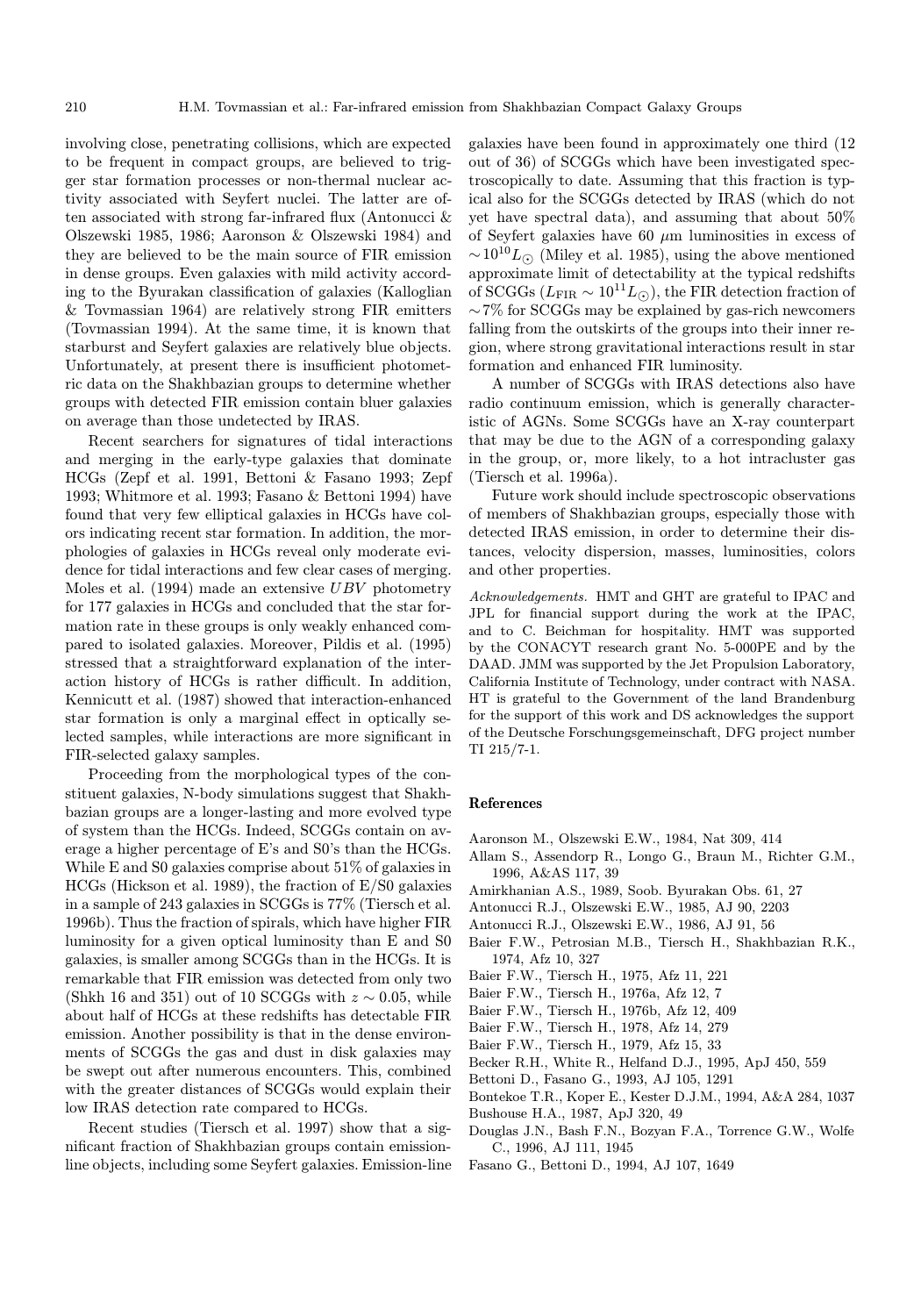involving close, penetrating collisions, which are expected to be frequent in compact groups, are believed to trigger star formation processes or non-thermal nuclear activity associated with Seyfert nuclei. The latter are often associated with strong far-infrared flux (Antonucci & Olszewski 1985, 1986; Aaronson & Olszewski 1984) and they are believed to be the main source of FIR emission in dense groups. Even galaxies with mild activity according to the Byurakan classification of galaxies (Kalloglian & Tovmassian 1964) are relatively strong FIR emitters (Tovmassian 1994). At the same time, it is known that starburst and Seyfert galaxies are relatively blue objects. Unfortunately, at present there is insufficient photometric data on the Shakhbazian groups to determine whether groups with detected FIR emission contain bluer galaxies on average than those undetected by IRAS.

Recent searchers for signatures of tidal interactions and merging in the early-type galaxies that dominate HCGs (Zepf et al. 1991, Bettoni & Fasano 1993; Zepf 1993; Whitmore et al. 1993; Fasano & Bettoni 1994) have found that very few elliptical galaxies in HCGs have colors indicating recent star formation. In addition, the morphologies of galaxies in HCGs reveal only moderate evidence for tidal interactions and few clear cases of merging. Moles et al. (1994) made an extensive UBV photometry for 177 galaxies in HCGs and concluded that the star formation rate in these groups is only weakly enhanced compared to isolated galaxies. Moreover, Pildis et al. (1995) stressed that a straightforward explanation of the interaction history of HCGs is rather difficult. In addition, Kennicutt et al. (1987) showed that interaction-enhanced star formation is only a marginal effect in optically selected samples, while interactions are more significant in FIR-selected galaxy samples.

Proceeding from the morphological types of the constituent galaxies, N-body simulations suggest that Shakhbazian groups are a longer-lasting and more evolved type of system than the HCGs. Indeed, SCGGs contain on average a higher percentage of E's and S0's than the HCGs. While E and S0 galaxies comprise about 51% of galaxies in HCGs (Hickson et al. 1989), the fraction of E/S0 galaxies in a sample of 243 galaxies in SCGGs is 77% (Tiersch et al. 1996b). Thus the fraction of spirals, which have higher FIR luminosity for a given optical luminosity than E and S0 galaxies, is smaller among SCGGs than in the HCGs. It is remarkable that FIR emission was detected from only two (Shkh 16 and 351) out of 10 SCGGs with  $z \sim 0.05$ , while about half of HCGs at these redshifts has detectable FIR emission. Another possibility is that in the dense environments of SCGGs the gas and dust in disk galaxies may be swept out after numerous encounters. This, combined with the greater distances of SCGGs would explain their low IRAS detection rate compared to HCGs.

Recent studies (Tiersch et al. 1997) show that a significant fraction of Shakhbazian groups contain emissionline objects, including some Seyfert galaxies. Emission-line galaxies have been found in approximately one third (12 out of 36) of SCGGs which have been investigated spectroscopically to date. Assuming that this fraction is typical also for the SCGGs detected by IRAS (which do not yet have spectral data), and assuming that about 50% of Seyfert galaxies have 60  $\mu$ m luminosities in excess of  $\sim 10^{10} L_{\odot}$  (Miley et al. 1985), using the above mentioned approximate limit of detectability at the typical redshifts of SCGGs ( $L_{\text{FIR}} \sim 10^{11} L_{\odot}$ ), the FIR detection fraction of ∼7% for SCGGs may be explained by gas-rich newcomers falling from the outskirts of the groups into their inner region, where strong gravitational interactions result in star formation and enhanced FIR luminosity.

A number of SCGGs with IRAS detections also have radio continuum emission, which is generally characteristic of AGNs. Some SCGGs have an X-ray counterpart that may be due to the AGN of a corresponding galaxy in the group, or, more likely, to a hot intracluster gas (Tiersch et al. 1996a).

Future work should include spectroscopic observations of members of Shakhbazian groups, especially those with detected IRAS emission, in order to determine their distances, velocity dispersion, masses, luminosities, colors and other properties.

Acknowledgements. HMT and GHT are grateful to IPAC and JPL for financial support during the work at the IPAC, and to C. Beichman for hospitality. HMT was supported by the CONACYT research grant No. 5-000PE and by the DAAD. JMM was supported by the Jet Propulsion Laboratory, California Institute of Technology, under contract with NASA. HT is grateful to the Government of the land Brandenburg for the support of this work and DS acknowledges the support of the Deutsche Forschungsgemeinschaft, DFG project number TI 215/7-1.

#### References

- Aaronson M., Olszewski E.W., 1984, Nat 309, 414
- Allam S., Assendorp R., Longo G., Braun M., Richter G.M., 1996, A&AS 117, 39
- Amirkhanian A.S., 1989, Soob. Byurakan Obs. 61, 27
- Antonucci R.J., Olszewski E.W., 1985, AJ 90, 2203
- Antonucci R.J., Olszewski E.W., 1986, AJ 91, 56
- Baier F.W., Petrosian M.B., Tiersch H., Shakhbazian R.K., 1974, Afz 10, 327
- Baier F.W., Tiersch H., 1975, Afz 11, 221
- Baier F.W., Tiersch H., 1976a, Afz 12, 7
- Baier F.W., Tiersch H., 1976b, Afz 12, 409
- Baier F.W., Tiersch H., 1978, Afz 14, 279
- Baier F.W., Tiersch H., 1979, Afz 15, 33
- Becker R.H., White R., Helfand D.J., 1995, ApJ 450, 559
- Bettoni D., Fasano G., 1993, AJ 105, 1291
- Bontekoe T.R., Koper E., Kester D.J.M., 1994, A&A 284, 1037
- Bushouse H.A., 1987, ApJ 320, 49
- Douglas J.N., Bash F.N., Bozyan F.A., Torrence G.W., Wolfe C., 1996, AJ 111, 1945
- Fasano G., Bettoni D., 1994, AJ 107, 1649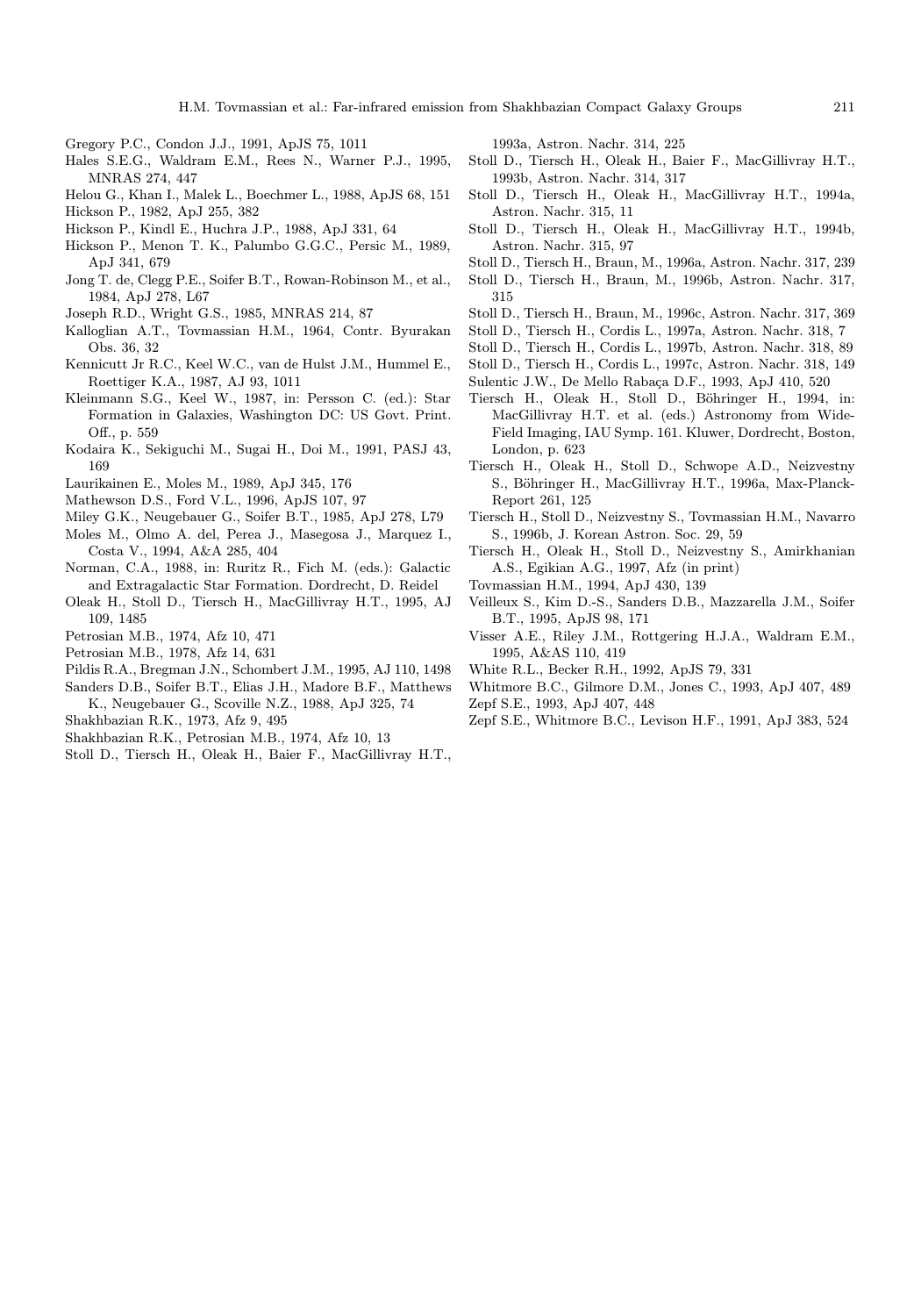H.M. Tovmassian et al.: Far-infrared emission from Shakhbazian Compact Galaxy Groups 211

- Gregory P.C., Condon J.J., 1991, ApJS 75, 1011
- Hales S.E.G., Waldram E.M., Rees N., Warner P.J., 1995, MNRAS 274, 447
- Helou G., Khan I., Malek L., Boechmer L., 1988, ApJS 68, 151
- Hickson P., 1982, ApJ 255, 382
- Hickson P., Kindl E., Huchra J.P., 1988, ApJ 331, 64
- Hickson P., Menon T. K., Palumbo G.G.C., Persic M., 1989, ApJ 341, 679
- Jong T. de, Clegg P.E., Soifer B.T., Rowan-Robinson M., et al., 1984, ApJ 278, L67
- Joseph R.D., Wright G.S., 1985, MNRAS 214, 87
- Kalloglian A.T., Tovmassian H.M., 1964, Contr. Byurakan Obs. 36, 32
- Kennicutt Jr R.C., Keel W.C., van de Hulst J.M., Hummel E., Roettiger K.A., 1987, AJ 93, 1011
- Kleinmann S.G., Keel W., 1987, in: Persson C. (ed.): Star Formation in Galaxies, Washington DC: US Govt. Print. Off., p. 559
- Kodaira K., Sekiguchi M., Sugai H., Doi M., 1991, PASJ 43, 169
- Laurikainen E., Moles M., 1989, ApJ 345, 176
- Mathewson D.S., Ford V.L., 1996, ApJS 107, 97
- Miley G.K., Neugebauer G., Soifer B.T., 1985, ApJ 278, L79
- Moles M., Olmo A. del, Perea J., Masegosa J., Marquez I., Costa V., 1994, A&A 285, 404
- Norman, C.A., 1988, in: Ruritz R., Fich M. (eds.): Galactic and Extragalactic Star Formation. Dordrecht, D. Reidel
- Oleak H., Stoll D., Tiersch H., MacGillivray H.T., 1995, AJ 109, 1485
- Petrosian M.B., 1974, Afz 10, 471
- Petrosian M.B., 1978, Afz 14, 631
- Pildis R.A., Bregman J.N., Schombert J.M., 1995, AJ 110, 1498
- Sanders D.B., Soifer B.T., Elias J.H., Madore B.F., Matthews K., Neugebauer G., Scoville N.Z., 1988, ApJ 325, 74
- Shakhbazian R.K., 1973, Afz 9, 495
- Shakhbazian R.K., Petrosian M.B., 1974, Afz 10, 13
- Stoll D., Tiersch H., Oleak H., Baier F., MacGillivray H.T.,

1993a, Astron. Nachr. 314, 225

- Stoll D., Tiersch H., Oleak H., Baier F., MacGillivray H.T., 1993b, Astron. Nachr. 314, 317
- Stoll D., Tiersch H., Oleak H., MacGillivray H.T., 1994a, Astron. Nachr. 315, 11
- Stoll D., Tiersch H., Oleak H., MacGillivray H.T., 1994b, Astron. Nachr. 315, 97
- Stoll D., Tiersch H., Braun, M., 1996a, Astron. Nachr. 317, 239
- Stoll D., Tiersch H., Braun, M., 1996b, Astron. Nachr. 317, 315
- Stoll D., Tiersch H., Braun, M., 1996c, Astron. Nachr. 317, 369
- Stoll D., Tiersch H., Cordis L., 1997a, Astron. Nachr. 318, 7
- Stoll D., Tiersch H., Cordis L., 1997b, Astron. Nachr. 318, 89
- Stoll D., Tiersch H., Cordis L., 1997c, Astron. Nachr. 318, 149
- Sulentic J.W., De Mello Rabaça D.F., 1993, ApJ 410, 520
- Tiersch H., Oleak H., Stoll D., Böhringer H., 1994, in: MacGillivray H.T. et al. (eds.) Astronomy from Wide-Field Imaging, IAU Symp. 161. Kluwer, Dordrecht, Boston, London, p. 623
- Tiersch H., Oleak H., Stoll D., Schwope A.D., Neizvestny S., Böhringer H., MacGillivray H.T., 1996a, Max-Planck-Report 261, 125
- Tiersch H., Stoll D., Neizvestny S., Tovmassian H.M., Navarro S., 1996b, J. Korean Astron. Soc. 29, 59
- Tiersch H., Oleak H., Stoll D., Neizvestny S., Amirkhanian A.S., Egikian A.G., 1997, Afz (in print)
- Tovmassian H.M., 1994, ApJ 430, 139
- Veilleux S., Kim D.-S., Sanders D.B., Mazzarella J.M., Soifer B.T., 1995, ApJS 98, 171
- Visser A.E., Riley J.M., Rottgering H.J.A., Waldram E.M., 1995, A&AS 110, 419
- White R.L., Becker R.H., 1992, ApJS 79, 331
- Whitmore B.C., Gilmore D.M., Jones C., 1993, ApJ 407, 489 Zepf S.E., 1993, ApJ 407, 448
- Zepf S.E., Whitmore B.C., Levison H.F., 1991, ApJ 383, 524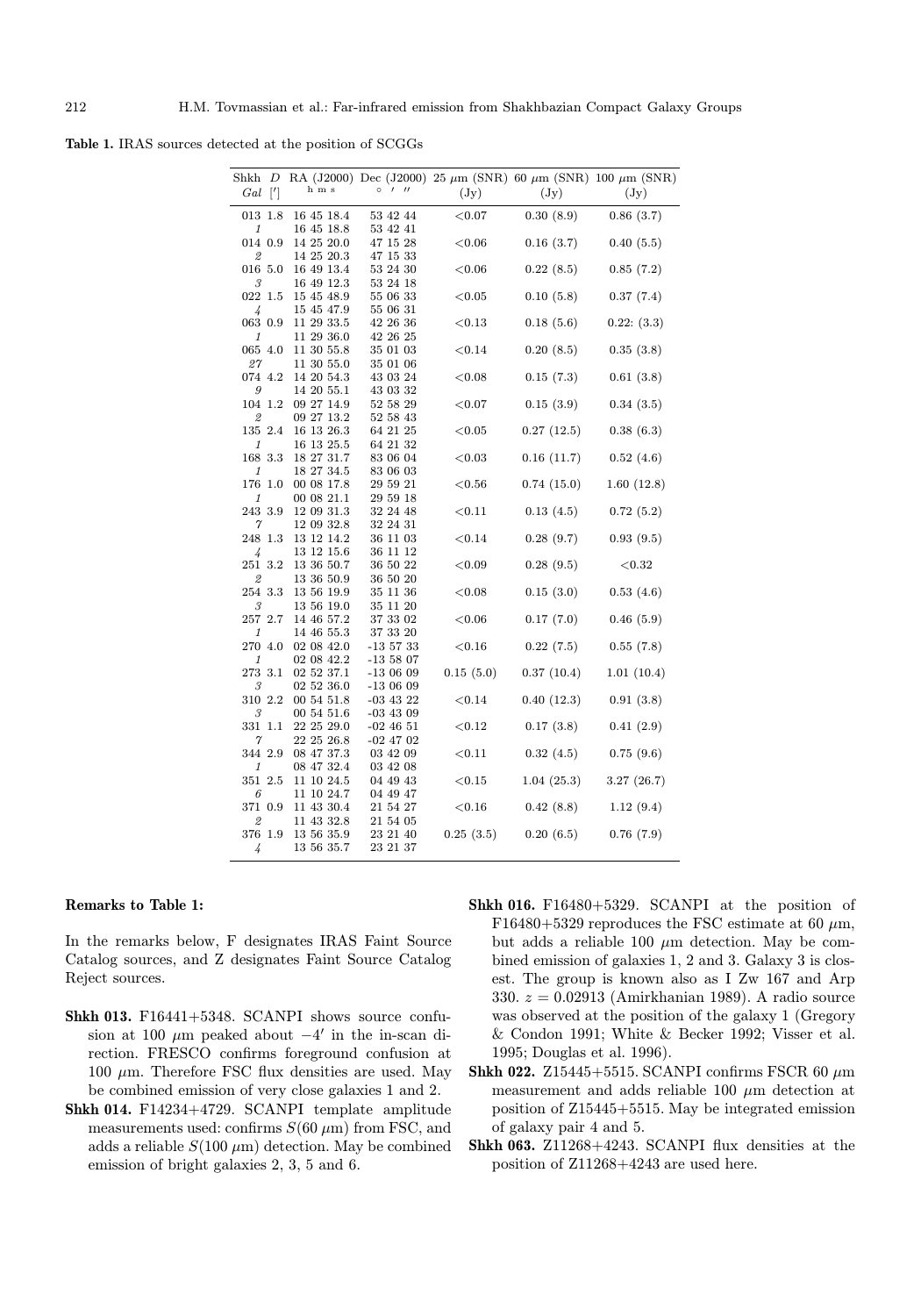Table 1. IRAS sources detected at the position of SCGGs

| Shkh<br>Gal             | D<br>$\lbrack$ | h m s                                  | $^{\prime\prime}$<br>$\circ$<br>$\prime$ | $(\mathrm{Jy})$ | $(\mathrm{Jy})$ | RA (J2000) Dec (J2000) 25 $\mu$ m (SNR) 60 $\mu$ m (SNR) 100 $\mu$ m (SNR)<br>$(\mathrm{Jy})$ |
|-------------------------|----------------|----------------------------------------|------------------------------------------|-----------------|-----------------|-----------------------------------------------------------------------------------------------|
| $013\ \ 1.8$<br>1       |                | 16 45 18.4<br>16 45 18.8               | 53 42 44<br>53 42 41                     | $<$ 0.07        | 0.30(8.9)       | 0.86(3.7)                                                                                     |
| 014 0.9                 |                | 14 25 20.0<br>14 25 20.3               | 47 15 28<br>47 15 33                     | ${<}0.06$       | 0.16(3.7)       | 0.40(5.5)                                                                                     |
| 2<br>016 5.0            |                | 16 49 13.4                             | 53 24 30                                 | ${<}0.06$       | 0.22(8.5)       | 0.85(7.2)                                                                                     |
| 3<br>022 1.5            |                | 16 49 12.3<br>15 45 48.9               | 53 24 18<br>55 06 33                     | ${<}0.05$       | 0.10(5.8)       | 0.37(7.4)                                                                                     |
| 4<br>$063\,$ $0.9$      |                | 15 45 47.9<br>11 29 33.5               | 55 06 31<br>42 26 36                     | ${<}0.13$       | 0.18(5.6)       | 0.22: (3.3)                                                                                   |
| 1<br>065 4.0            |                | 11 29 36.0<br>11 30 55.8               | 42 26 25<br>35 01 03                     | < 0.14          | 0.20(8.5)       | 0.35(3.8)                                                                                     |
| 27<br>074 4.2           |                | 11 30 55.0<br>14 20 54.3               | 35 01 06<br>43 03 24                     | ${<}0.08$       | 0.15(7.3)       | 0.61(3.8)                                                                                     |
| 9<br>104 1.2            |                | 14 20 55.1<br>09 27 14.9               | 43 03 32<br>52 58 29                     | ${<}0.07$       | 0.15(3.9)       | 0.34(3.5)                                                                                     |
| 2<br>135 2.4            |                | 09 27 13.2<br>16 13 26.3               | 52 58 43<br>64 21 25                     | ${<}0.05$       | 0.27(12.5)      | 0.38(6.3)                                                                                     |
| 1<br>168 3.3            |                | 16 13 25.5<br>18 27 31.7               | 64 21 32<br>83 06 04                     | ${<}0.03$       | 0.16(11.7)      | 0.52(4.6)                                                                                     |
| 1<br>176 1.0            |                | 18 27 34.5<br>00 08 17.8               | 83 06 03<br>29 59 21                     | ${<}0.56$       | 0.74(15.0)      | 1.60(12.8)                                                                                    |
| 1<br>243 3.9            |                | 00 08 21.1<br>12 09 31.3               | 29 59 18<br>32 24 48                     | < 0.11          | 0.13(4.5)       | 0.72(5.2)                                                                                     |
| 7<br>248 1.3            |                | 12 09 32.8<br>13 12 14.2               | 36 11 03                                 | ${<}0.14$       | 0.28(9.7)       | 0.93(9.5)                                                                                     |
| 4<br>251 3.2<br>2       |                | 13 12 15.6<br>13 36 50.7<br>13 36 50.9 | 36 11 12<br>36 50 22<br>36 50 20         | ${<}0.09$       | 0.28(9.5)       | ${<}0.32$                                                                                     |
| 254 3.3<br>3            |                | 13 56 19.9                             | 35 11 36                                 | ${<}0.08$       | 0.15(3.0)       | 0.53(4.6)                                                                                     |
| 257 2.7                 |                | 13 56 19.0<br>14 46 57.2               | 35 11 20<br>37 33 02                     | ${<}0.06$       | 0.17(7.0)       | 0.46(5.9)                                                                                     |
| 1<br>270                | 4.0            | 14 46 55.3<br>02 08 42.0<br>02 08 42.2 | 37 33 20<br>-13 57 33                    | ${<}0.16$       | 0.22(7.5)       | 0.55(7.8)                                                                                     |
| 1<br>$273\,.\,3.1$<br>3 |                | 02 52 37.1<br>02 52 36.0               | $-135807$<br>-13 06 09<br>-13 06 09      | 0.15(5.0)       | 0.37(10.4)      | 1.01(10.4)                                                                                    |
| 310<br>3                | 2.2            | 00 54 51.8<br>00 54 51.6               | $-03$ 43 22<br>$-03$ 43 09               | ${<}0.14$       | 0.40(12.3)      | 0.91(3.8)                                                                                     |
| 331 1.1<br>7            |                | 22 25 29.0<br>22 25 26.8               | $-02\;46\;51$<br>-02 47 02               | ${<}0.12$       | 0.17(3.8)       | 0.41(2.9)                                                                                     |
| 344 2.9<br>1            |                | 08 47 37.3<br>08 47 32.4               | 03 42 09<br>03 42 08                     | < 0.11          | 0.32(4.5)       | 0.75(9.6)                                                                                     |
| 351 2.5<br>6            |                | 11 10 24.5<br>11 10 24.7               | 04 49 43<br>04 49 47                     | ${<}0.15$       | 1.04(25.3)      | 3.27(26.7)                                                                                    |
| 371 0.9<br>2            |                | 11 43 30.4<br>11 43 32.8               | 21 54 27<br>21 54 05                     | $<$ 0.16        | 0.42(8.8)       | 1.12(9.4)                                                                                     |
| 376 1.9<br>4            |                | 13 56 35.9<br>13 56 35.7               | 23 21 40<br>23 21 37                     | 0.25(3.5)       | 0.20(6.5)       | 0.76(7.9)                                                                                     |
|                         |                |                                        |                                          |                 |                 |                                                                                               |

# Remarks to Table 1:

In the remarks below, F designates IRAS Faint Source Catalog sources, and Z designates Faint Source Catalog Reject sources.

- Shkh 013. F16441+5348. SCANPI shows source confusion at 100  $\mu$ m peaked about  $-4'$  in the in-scan direction. FRESCO confirms foreground confusion at  $100 \mu m$ . Therefore FSC flux densities are used. May be combined emission of very close galaxies 1 and 2.
- Shkh 014. F14234+4729. SCANPI template amplitude measurements used: confirms  $S(60 \mu m)$  from FSC, and adds a reliable  $S(100 \mu m)$  detection. May be combined emission of bright galaxies 2, 3, 5 and 6.
- Shkh 016. F16480+5329. SCANPI at the position of F16480+5329 reproduces the FSC estimate at 60  $\mu$ m, but adds a reliable 100  $\mu$ m detection. May be combined emission of galaxies 1, 2 and 3. Galaxy 3 is closest. The group is known also as I Zw 167 and Arp 330.  $z = 0.02913$  (Amirkhanian 1989). A radio source was observed at the position of the galaxy 1 (Gregory & Condon 1991; White & Becker 1992; Visser et al. 1995; Douglas et al. 1996).
- Shkh 022. Z15445+5515. SCANPI confirms FSCR 60  $\mu$ m measurement and adds reliable 100  $\mu$ m detection at position of Z15445+5515. May be integrated emission of galaxy pair 4 and 5.
- Shkh 063. Z11268+4243. SCANPI flux densities at the position of Z11268+4243 are used here.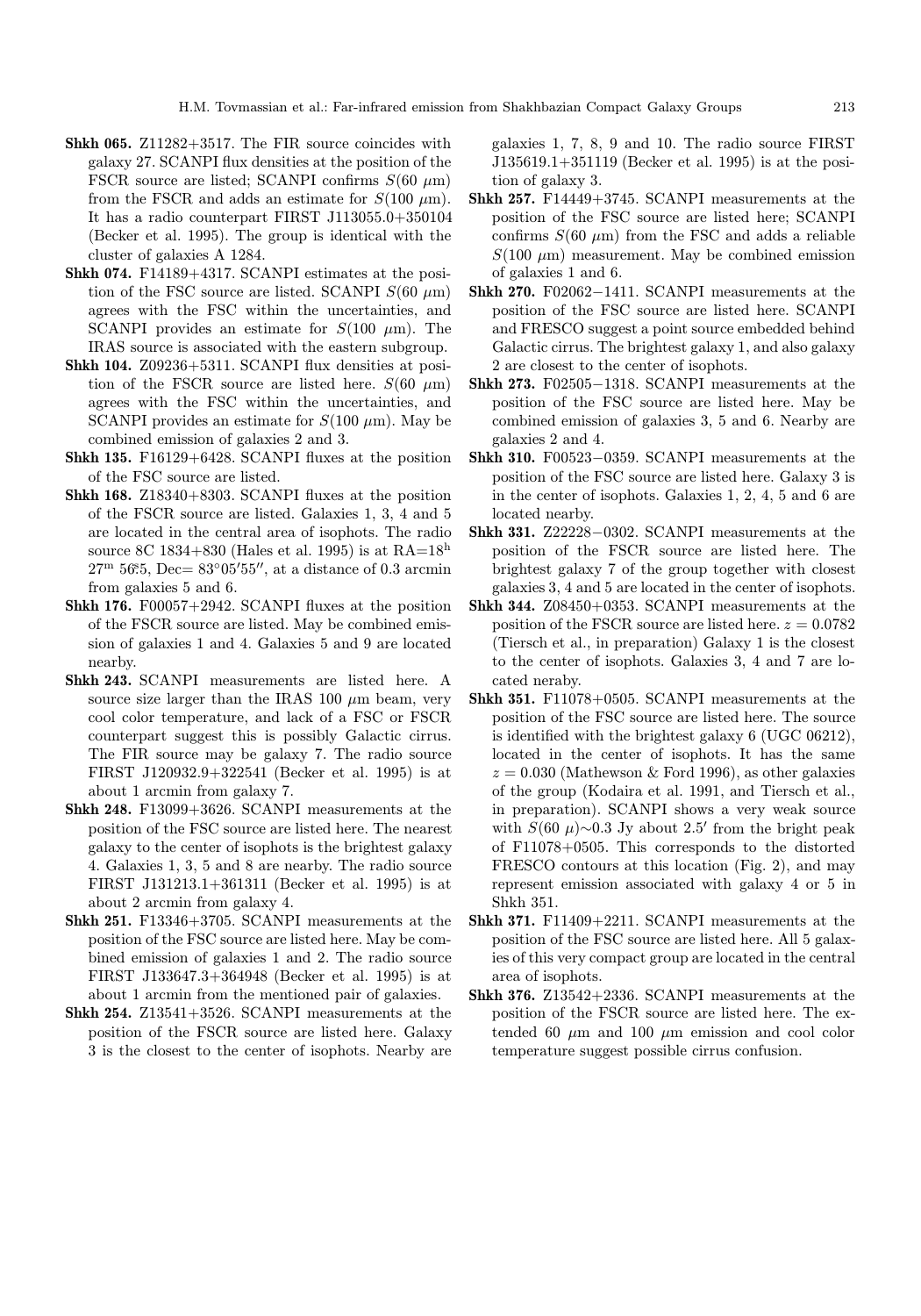- Shkh 065. Z11282+3517. The FIR source coincides with galaxy 27. SCANPI flux densities at the position of the FSCR source are listed; SCANPI confirms  $S(60 \mu m)$ from the FSCR and adds an estimate for  $S(100 \mu m)$ . It has a radio counterpart FIRST J113055.0+350104 (Becker et al. 1995). The group is identical with the cluster of galaxies A 1284.
- Shkh 074. F14189+4317. SCANPI estimates at the position of the FSC source are listed. SCANPI  $S(60 \mu m)$ agrees with the FSC within the uncertainties, and SCANPI provides an estimate for  $S(100 \mu m)$ . The IRAS source is associated with the eastern subgroup.
- Shkh 104. Z09236+5311. SCANPI flux densities at position of the FSCR source are listed here.  $S(60 \mu m)$ agrees with the FSC within the uncertainties, and SCANPI provides an estimate for  $S(100 \mu m)$ . May be combined emission of galaxies 2 and 3.
- Shkh 135. F16129+6428. SCANPI fluxes at the position of the FSC source are listed.
- Shkh 168. Z18340+8303. SCANPI fluxes at the position of the FSCR source are listed. Galaxies 1, 3, 4 and 5 are located in the central area of isophots. The radio source 8C 1834+830 (Hales et al. 1995) is at  $RA=18<sup>h</sup>$  $27^{\rm m}$  56.5, Dec=  $83^{\circ}05'55''$ , at a distance of 0.3 arcmin from galaxies 5 and 6.
- Shkh 176. F00057+2942. SCANPI fluxes at the position of the FSCR source are listed. May be combined emission of galaxies 1 and 4. Galaxies 5 and 9 are located nearby.
- Shkh 243. SCANPI measurements are listed here. A source size larger than the IRAS 100  $\mu$ m beam, very cool color temperature, and lack of a FSC or FSCR counterpart suggest this is possibly Galactic cirrus. The FIR source may be galaxy 7. The radio source FIRST J120932.9+322541 (Becker et al. 1995) is at about 1 arcmin from galaxy 7.
- Shkh 248. F13099+3626. SCANPI measurements at the position of the FSC source are listed here. The nearest galaxy to the center of isophots is the brightest galaxy 4. Galaxies 1, 3, 5 and 8 are nearby. The radio source FIRST J131213.1+361311 (Becker et al. 1995) is at about 2 arcmin from galaxy 4.
- Shkh 251. F13346+3705. SCANPI measurements at the position of the FSC source are listed here. May be combined emission of galaxies 1 and 2. The radio source FIRST J133647.3+364948 (Becker et al. 1995) is at about 1 arcmin from the mentioned pair of galaxies.
- Shkh 254. Z13541+3526. SCANPI measurements at the position of the FSCR source are listed here. Galaxy 3 is the closest to the center of isophots. Nearby are

galaxies 1, 7, 8, 9 and 10. The radio source FIRST J135619.1+351119 (Becker et al. 1995) is at the position of galaxy 3.

- Shkh 257. F14449+3745. SCANPI measurements at the position of the FSC source are listed here; SCANPI confirms  $S(60 \mu m)$  from the FSC and adds a reliable  $S(100 \mu m)$  measurement. May be combined emission of galaxies 1 and 6.
- Shkh 270. F02062−1411. SCANPI measurements at the position of the FSC source are listed here. SCANPI and FRESCO suggest a point source embedded behind Galactic cirrus. The brightest galaxy 1, and also galaxy 2 are closest to the center of isophots.
- Shkh 273. F02505−1318. SCANPI measurements at the position of the FSC source are listed here. May be combined emission of galaxies 3, 5 and 6. Nearby are galaxies 2 and 4.
- Shkh 310. F00523−0359. SCANPI measurements at the position of the FSC source are listed here. Galaxy 3 is in the center of isophots. Galaxies 1, 2, 4, 5 and 6 are located nearby.
- Shkh 331. Z22228−0302. SCANPI measurements at the position of the FSCR source are listed here. The brightest galaxy 7 of the group together with closest galaxies 3, 4 and 5 are located in the center of isophots.
- Shkh 344. Z08450+0353. SCANPI measurements at the position of the FSCR source are listed here.  $z = 0.0782$ (Tiersch et al., in preparation) Galaxy 1 is the closest to the center of isophots. Galaxies 3, 4 and 7 are located neraby.
- Shkh 351. F11078+0505. SCANPI measurements at the position of the FSC source are listed here. The source is identified with the brightest galaxy 6 (UGC 06212), located in the center of isophots. It has the same  $z = 0.030$  (Mathewson & Ford 1996), as other galaxies of the group (Kodaira et al. 1991, and Tiersch et al., in preparation). SCANPI shows a very weak source with  $S(60 \mu) \sim 0.3$  Jy about 2.5' from the bright peak of F11078+0505. This corresponds to the distorted FRESCO contours at this location (Fig. 2), and may represent emission associated with galaxy 4 or 5 in Shkh 351.
- Shkh 371. F11409+2211. SCANPI measurements at the position of the FSC source are listed here. All 5 galaxies of this very compact group are located in the central area of isophots.
- Shkh 376. Z13542+2336. SCANPI measurements at the position of the FSCR source are listed here. The extended 60  $\mu$ m and 100  $\mu$ m emission and cool color temperature suggest possible cirrus confusion.